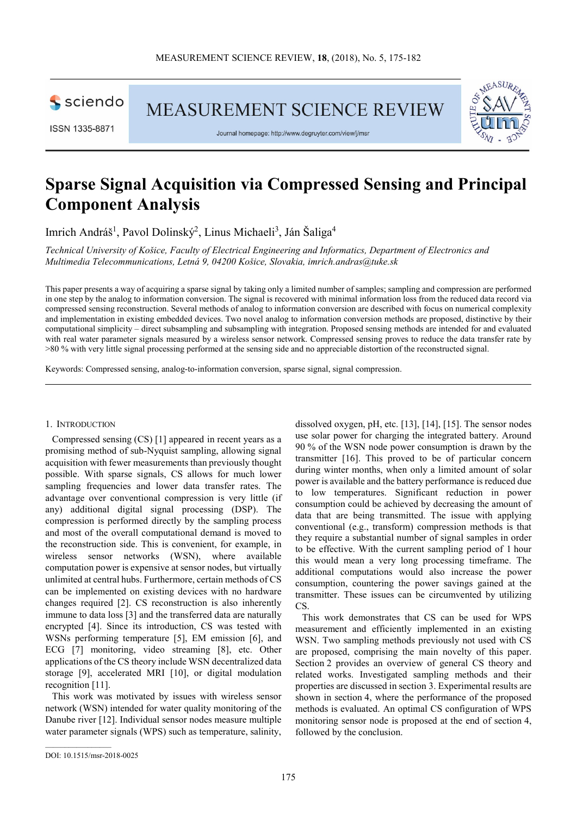

**MEASUREMENT SCIENCE REVIEW** 



Journal homepage: http://www.degruyter.com/view/j/msr



# **Sparse Signal Acquisition via Compressed Sensing and Principal Component Analysis**

Imrich Andráš<sup>1</sup>, Pavol Dolinský<sup>2</sup>, Linus Michaeli<sup>3</sup>, Ján Šaliga<sup>4</sup>

*Technical University of Košice, Faculty of Electrical Engineering and Informatics, Department of Electronics and Multimedia Telecommunications, Letná 9, 04200 Košice, Slovakia, imrich.andras@tuke.sk* 

This paper presents a way of acquiring a sparse signal by taking only a limited number of samples; sampling and compression are performed in one step by the analog to information conversion. The signal is recovered with minimal information loss from the reduced data record via compressed sensing reconstruction. Several methods of analog to information conversion are described with focus on numerical complexity and implementation in existing embedded devices. Two novel analog to information conversion methods are proposed, distinctive by their computational simplicity – direct subsampling and subsampling with integration. Proposed sensing methods are intended for and evaluated with real water parameter signals measured by a wireless sensor network. Compressed sensing proves to reduce the data transfer rate by >80 % with very little signal processing performed at the sensing side and no appreciable distortion of the reconstructed signal.

Keywords: Compressed sensing, analog-to-information conversion, sparse signal, signal compression.

## 1. INTRODUCTION

Compressed sensing (CS) [1] appeared in recent years as a promising method of sub-Nyquist sampling, allowing signal acquisition with fewer measurements than previously thought possible. With sparse signals, CS allows for much lower sampling frequencies and lower data transfer rates. The advantage over conventional compression is very little (if any) additional digital signal processing (DSP). The compression is performed directly by the sampling process and most of the overall computational demand is moved to the reconstruction side. This is convenient, for example, in wireless sensor networks (WSN), where available computation power is expensive at sensor nodes, but virtually unlimited at central hubs. Furthermore, certain methods of CS can be implemented on existing devices with no hardware changes required [2]. CS reconstruction is also inherently immune to data loss [3] and the transferred data are naturally encrypted [4]. Since its introduction, CS was tested with WSNs performing temperature [5], EM emission [6], and ECG [7] monitoring, video streaming [8], etc. Other applications of the CS theory include WSN decentralized data storage [9], accelerated MRI [10], or digital modulation recognition [11].

This work was motivated by issues with wireless sensor network (WSN) intended for water quality monitoring of the Danube river [12]. Individual sensor nodes measure multiple water parameter signals (WPS) such as temperature, salinity, dissolved oxygen, pH, etc. [13], [14], [15]. The sensor nodes use solar power for charging the integrated battery. Around 90 % of the WSN node power consumption is drawn by the transmitter [16]. This proved to be of particular concern during winter months, when only a limited amount of solar power is available and the battery performance is reduced due to low temperatures. Significant reduction in power consumption could be achieved by decreasing the amount of data that are being transmitted. The issue with applying conventional (e.g., transform) compression methods is that they require a substantial number of signal samples in order to be effective. With the current sampling period of 1 hour this would mean a very long processing timeframe. The additional computations would also increase the power consumption, countering the power savings gained at the transmitter. These issues can be circumvented by utilizing CS.

This work demonstrates that CS can be used for WPS measurement and efficiently implemented in an existing WSN. Two sampling methods previously not used with CS are proposed, comprising the main novelty of this paper. Section 2 provides an overview of general CS theory and related works. Investigated sampling methods and their properties are discussed in section 3. Experimental results are shown in section 4, where the performance of the proposed methods is evaluated. An optimal CS configuration of WPS monitoring sensor node is proposed at the end of section 4, followed by the conclusion.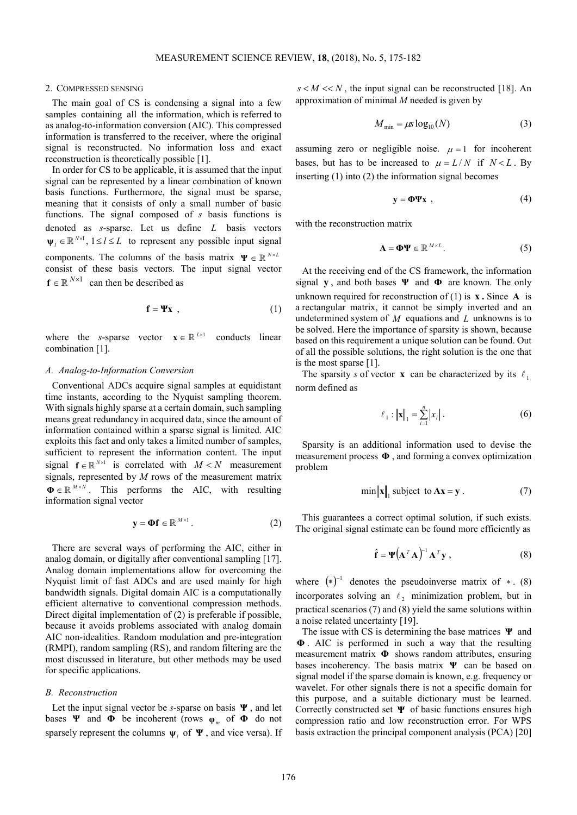## 2. COMPRESSED SENSING

The main goal of CS is condensing a signal into a few samples containing all the information, which is referred to as analog-to-information conversion (AIC). This compressed information is transferred to the receiver, where the original signal is reconstructed. No information loss and exact reconstruction is theoretically possible [1].

In order for CS to be applicable, it is assumed that the input signal can be represented by a linear combination of known basis functions. Furthermore, the signal must be sparse, meaning that it consists of only a small number of basic functions. The signal composed of *s* basis functions is denoted as *s*-sparse. Let us define *L* basis vectors  $\Psi_l \in \mathbb{R}^{N \times 1}$ ,  $1 \le l \le L$  to represent any possible input signal components. The columns of the basis matrix  $\Psi \in \mathbb{R}^{N \times L}$ consist of these basis vectors. The input signal vector  $f \in \mathbb{R}^{N \times 1}$  can then be described as

$$
\mathbf{f} = \Psi \mathbf{x} \tag{1}
$$

where the *s*-sparse vector  $\mathbf{x} \in \mathbb{R}^{L \times 1}$ *x* conducts linear combination [1].

## *A. Analog-to-Information Conversion*

Conventional ADCs acquire signal samples at equidistant time instants, according to the Nyquist sampling theorem. With signals highly sparse at a certain domain, such sampling means great redundancy in acquired data, since the amount of information contained within a sparse signal is limited. AIC exploits this fact and only takes a limited number of samples, sufficient to represent the information content. The input signal  $f \in \mathbb{R}^{N \times 1}$  is correlated with  $M < N$  measurement signals, represented by *M* rows of the measurement matrix  $\Phi \in \mathbb{R}^{M \times N}$ . This performs the AIC, with resulting information signal vector

$$
\mathbf{y} = \mathbf{\Phi} \mathbf{f} \in \mathbb{R}^{M \times 1} \,. \tag{2}
$$

There are several ways of performing the AIC, either in analog domain, or digitally after conventional sampling [17]. Analog domain implementations allow for overcoming the Nyquist limit of fast ADCs and are used mainly for high bandwidth signals. Digital domain AIC is a computationally efficient alternative to conventional compression methods. Direct digital implementation of (2) is preferable if possible, because it avoids problems associated with analog domain AIC non-idealities. Random modulation and pre-integration (RMPI), random sampling (RS), and random filtering are the most discussed in literature, but other methods may be used for specific applications.

## *B. Reconstruction*

Let the input signal vector be *s*-sparse on basis **Ψ** , and let bases **Ψ** and **Φ** be incoherent (rows  $\varphi_m$  of **Φ** do not sparsely represent the columns  $\psi_l$  of  $\Psi$ , and vice versa). If  $s < M < N$ , the input signal can be reconstructed [18]. An approximation of minimal *M* needed is given by

$$
M_{\min} = \mu s \log_{10}(N) \tag{3}
$$

assuming zero or negligible noise.  $\mu = 1$  for incoherent bases, but has to be increased to  $\mu = L/N$  if  $N < L$ . By inserting (1) into (2) the information signal becomes

$$
y = \Phi \Psi x \tag{4}
$$

with the reconstruction matrix

$$
\mathbf{A} = \mathbf{\Phi}\mathbf{\Psi} \in \mathbb{R}^{M \times L}.
$$
 (5)

At the receiving end of the CS framework, the information signal **y** , and both bases **Ψ** and **Φ** are known. The only unknown required for reconstruction of  $(1)$  is **x .** Since **A** is a rectangular matrix, it cannot be simply inverted and an undetermined system of *M* equations and *L* unknowns is to be solved. Here the importance of sparsity is shown, because based on this requirement a unique solution can be found. Out of all the possible solutions, the right solution is the one that is the most sparse [1].

The sparsity *s* of vector **x** can be characterized by its  $\ell_1$ norm defined as

$$
\ell_1: ||\mathbf{x}||_1 = \sum_{i=1}^n |x_i| \,. \tag{6}
$$

Sparsity is an additional information used to devise the measurement process **Φ** , and forming a convex optimization problem

$$
\min \|\mathbf{x}\|_1 \text{ subject to } \mathbf{A}\mathbf{x} = \mathbf{y}. \tag{7}
$$

This guarantees a correct optimal solution, if such exists. The original signal estimate can be found more efficiently as

$$
\hat{\mathbf{f}} = \mathbf{\Psi} (\mathbf{A}^T \mathbf{A})^{-1} \mathbf{A}^T \mathbf{y} , \qquad (8)
$$

where  $(*)^{-1}$  denotes the pseudoinverse matrix of  $*$ . (8) incorporates solving an  $\ell_2$  minimization problem, but in practical scenarios (7) and (8) yield the same solutions within a noise related uncertainty [19].

The issue with CS is determining the base matrices **Ψ** and **Φ** . AIC is performed in such a way that the resulting measurement matrix **Φ** shows random attributes, ensuring bases incoherency. The basis matrix **Ψ** can be based on signal model if the sparse domain is known, e.g. frequency or wavelet. For other signals there is not a specific domain for this purpose, and a suitable dictionary must be learned. Correctly constructed set **Ψ** of basic functions ensures high compression ratio and low reconstruction error. For WPS basis extraction the principal component analysis (PCA) [20]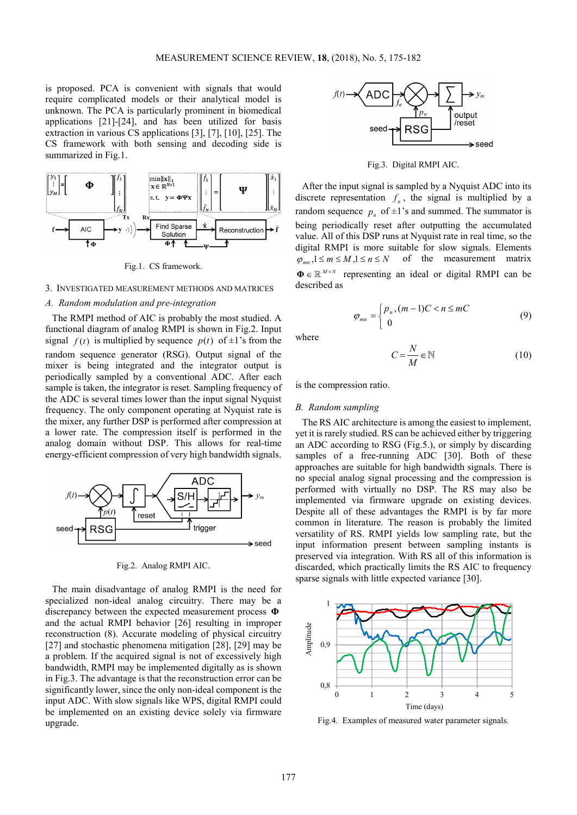is proposed. PCA is convenient with signals that would require complicated models or their analytical model is unknown. The PCA is particularly prominent in biomedical applications [21]-[24], and has been utilized for basis extraction in various CS applications [3], [7], [10], [25]. The CS framework with both sensing and decoding side is summarized in Fig.1.



Fig.1. CS framework.

## 3. INVESTIGATED MEASUREMENT METHODS AND MATRICES

# *A. Random modulation and pre-integration*

The RMPI method of AIC is probably the most studied. A functional diagram of analog RMPI is shown in Fig.2. Input signal  $f(t)$  is multiplied by sequence  $p(t)$  of  $\pm 1$ 's from the random sequence generator (RSG). Output signal of the mixer is being integrated and the integrator output is periodically sampled by a conventional ADC. After each sample is taken, the integrator is reset. Sampling frequency of the ADC is several times lower than the input signal Nyquist frequency. The only component operating at Nyquist rate is the mixer, any further DSP is performed after compression at a lower rate. The compression itself is performed in the analog domain without DSP. This allows for real-time energy-efficient compression of very high bandwidth signals.



Fig.2. Analog RMPI AIC.

The main disadvantage of analog RMPI is the need for specialized non-ideal analog circuitry. There may be a discrepancy between the expected measurement process **Φ** and the actual RMPI behavior [26] resulting in improper reconstruction (8). Accurate modeling of physical circuitry [27] and stochastic phenomena mitigation [28], [29] may be a problem. If the acquired signal is not of excessively high bandwidth, RMPI may be implemented digitally as is shown in Fig.3. The advantage is that the reconstruction error can be significantly lower, since the only non-ideal component is the input ADC. With slow signals like WPS, digital RMPI could be implemented on an existing device solely via firmware upgrade.



Fig.3. Digital RMPI AIC.

After the input signal is sampled by a Nyquist ADC into its discrete representation  $f_n$ , the signal is multiplied by a random sequence  $p_n$  of  $\pm 1$ 's and summed. The summator is being periodically reset after outputting the accumulated value. All of this DSP runs at Nyquist rate in real time, so the digital RMPI is more suitable for slow signals. Elements  $\varphi_{mn}$ ,  $1 \le m \le M$ ,  $1 \le n \le N$  of the measurement matrix  $\Phi \in \mathbb{R}^{M \times N}$  representing an ideal or digital RMPI can be described as

$$
\varphi_{mn} = \begin{cases} p_n, (m-1)C < n \leq mC \\ 0 & \end{cases} \tag{9}
$$

where

$$
C = \frac{N}{M} \in \mathbb{N} \tag{10}
$$

is the compression ratio.

# *B. Random sampling*

The RS AIC architecture is among the easiest to implement, yet it is rarely studied. RS can be achieved either by triggering an ADC according to RSG (Fig.5.), or simply by discarding samples of a free-running ADC [30]. Both of these approaches are suitable for high bandwidth signals. There is no special analog signal processing and the compression is performed with virtually no DSP. The RS may also be implemented via firmware upgrade on existing devices. Despite all of these advantages the RMPI is by far more common in literature. The reason is probably the limited versatility of RS. RMPI yields low sampling rate, but the input information present between sampling instants is preserved via integration. With RS all of this information is discarded, which practically limits the RS AIC to frequency sparse signals with little expected variance [30].



Fig.4. Examples of measured water parameter signals.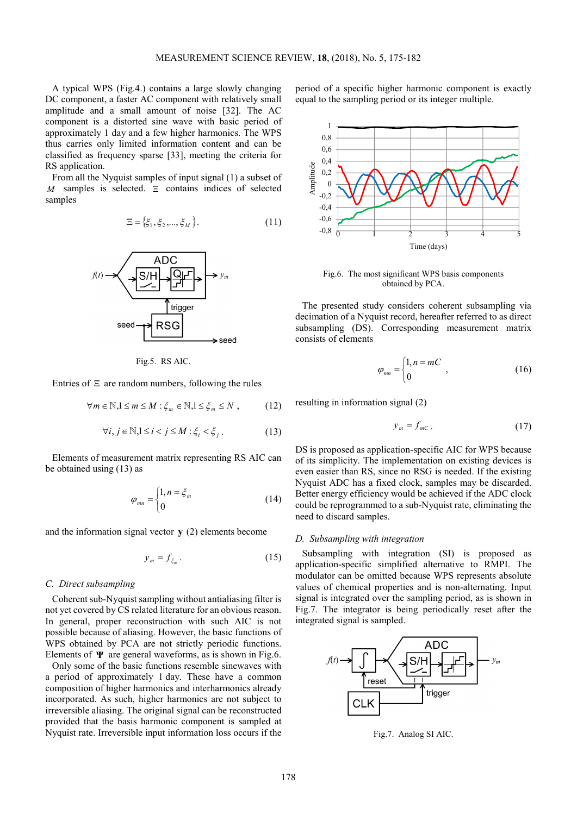A typical WPS (Fig.4.) contains a large slowly changing DC component, a faster AC component with relatively small amplitude and a small amount of noise [32]. The AC component is a distorted sine wave with basic period of approximately 1 day and a few higher harmonics. The WPS thus carries only limited information content and can be classified as frequency sparse [33], meeting the criteria for RS application.

From all the Nyquist samples of input signal (1) a subset of *M* samples is selected. Ξ contains indices of selected samples

$$
\Xi = \{\xi_1, \xi_2, ..., \xi_M\}.
$$
 (11)



Fig.5. RS AIC.

Entries of  $\Xi$  are random numbers, following the rules

$$
\forall m \in \mathbb{N}, 1 \leq m \leq M : \xi_m \in \mathbb{N}, 1 \leq \xi_m \leq N , \qquad (12)
$$

$$
\forall i, j \in \mathbb{N}, 1 \le i < j \le M : \xi_i < \xi_j. \tag{13}
$$

Elements of measurement matrix representing RS AIC can be obtained using (13) as

$$
\varphi_{mn} = \begin{cases} 1, n = \xi_m \\ 0 \end{cases}
$$
 (14)

and the information signal vector **y** (2) elements become

$$
y_m = f_{\xi_m} \,. \tag{15}
$$

#### *C. Direct subsampling*

Coherent sub-Nyquist sampling without antialiasing filter is not yet covered by CS related literature for an obvious reason. In general, proper reconstruction with such AIC is not possible because of aliasing. However, the basic functions of WPS obtained by PCA are not strictly periodic functions. Elements of **Ψ** are general waveforms, as is shown in Fig.6.

Only some of the basic functions resemble sinewaves with a period of approximately 1 day. These have a common composition of higher harmonics and interharmonics already incorporated. As such, higher harmonics are not subject to irreversible aliasing. The original signal can be reconstructed provided that the basis harmonic component is sampled at Nyquist rate. Irreversible input information loss occurs if the

period of a specific higher harmonic component is exactly equal to the sampling period or its integer multiple.



Fig.6. The most significant WPS basis components obtained by PCA.

The presented study considers coherent subsampling via decimation of a Nyquist record, hereafter referred to as direct subsampling (DS). Corresponding measurement matrix consists of elements

$$
\varphi_{mn} = \begin{cases} 1, n = mC \\ 0 \end{cases}, \tag{16}
$$

resulting in information signal (2)

$$
y_m = f_{mC} \tag{17}
$$

DS is proposed as application-specific AIC for WPS because of its simplicity. The implementation on existing devices is even easier than RS, since no RSG is needed. If the existing Nyquist ADC has a fixed clock, samples may be discarded. Better energy efficiency would be achieved if the ADC clock could be reprogrammed to a sub-Nyquist rate, eliminating the need to discard samples.

## *D. Subsampling with integration*

Subsampling with integration (SI) is proposed as application-specific simplified alternative to RMPI. The modulator can be omitted because WPS represents absolute values of chemical properties and is non-alternating. Input signal is integrated over the sampling period, as is shown in Fig.7. The integrator is being periodically reset after the integrated signal is sampled.



Fig.7. Analog SI AIC.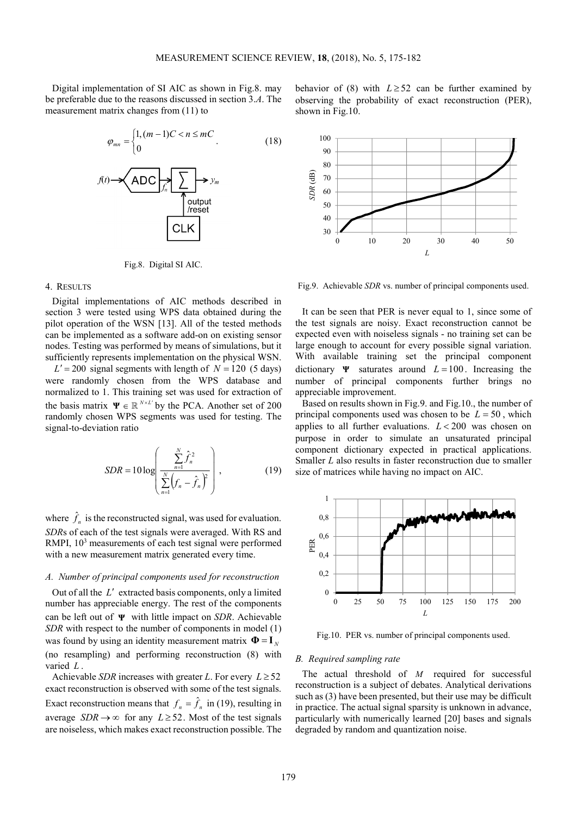Digital implementation of SI AIC as shown in Fig.8. may be preferable due to the reasons discussed in section 3.*A*. The measurement matrix changes from (11) to



Fig.8. Digital SI AIC.

#### 4. RESULTS

Digital implementations of AIC methods described in section 3 were tested using WPS data obtained during the pilot operation of the WSN [13]. All of the tested methods can be implemented as a software add-on on existing sensor nodes. Testing was performed by means of simulations, but it sufficiently represents implementation on the physical WSN.

 $L' = 200$  signal segments with length of  $N = 120$  (5 days) were randomly chosen from the WPS database and normalized to 1. This training set was used for extraction of the basis matrix  $\Psi \in \mathbb{R}^{N \times L'}$  by the PCA. Another set of 200 randomly chosen WPS segments was used for testing. The signal-to-deviation ratio

$$
SDR = 10 \log \left( \frac{\sum_{n=1}^{N} \hat{f}_n^2}{\sum_{n=1}^{N} (f_n - \hat{f}_n)^2} \right),
$$
 (19)

where  $\hat{f}_n$  is the reconstructed signal, was used for evaluation. *SDR*s of each of the test signals were averaged. With RS and RMPI, 10<sup>3</sup> measurements of each test signal were performed with a new measurement matrix generated every time.

# *A. Number of principal components used for reconstruction*

Out of all the *L*′ extracted basis components, only a limited number has appreciable energy. The rest of the components can be left out of **Ψ** with little impact on *SDR*. Achievable *SDR* with respect to the number of components in model (1) was found by using an identity measurement matrix  $\mathbf{\Phi} = \mathbf{I}_N$ (no resampling) and performing reconstruction (8) with varied *L* .

Achievable *SDR* increases with greater *L*. For every  $L \geq 52$ exact reconstruction is observed with some of the test signals. Exact reconstruction means that  $f_n = \hat{f}_n$  in (19), resulting in average *SDR*  $\rightarrow \infty$  for any *L* ≥ 52. Most of the test signals are noiseless, which makes exact reconstruction possible. The





Fig.9. Achievable *SDR* vs. number of principal components used.

It can be seen that PER is never equal to 1, since some of the test signals are noisy. Exact reconstruction cannot be expected even with noiseless signals - no training set can be large enough to account for every possible signal variation. With available training set the principal component dictionary  $\Psi$  saturates around  $L = 100$ . Increasing the number of principal components further brings no appreciable improvement.

Based on results shown in Fig.9. and Fig.10., the number of principal components used was chosen to be  $L = 50$ , which applies to all further evaluations. *L* < 200 was chosen on purpose in order to simulate an unsaturated principal component dictionary expected in practical applications. Smaller *L* also results in faster reconstruction due to smaller size of matrices while having no impact on AIC.



Fig.10. PER vs. number of principal components used.

#### *B. Required sampling rate*

The actual threshold of *M* required for successful reconstruction is a subject of debates. Analytical derivations such as (3) have been presented, but their use may be difficult in practice. The actual signal sparsity is unknown in advance, particularly with numerically learned [20] bases and signals degraded by random and quantization noise.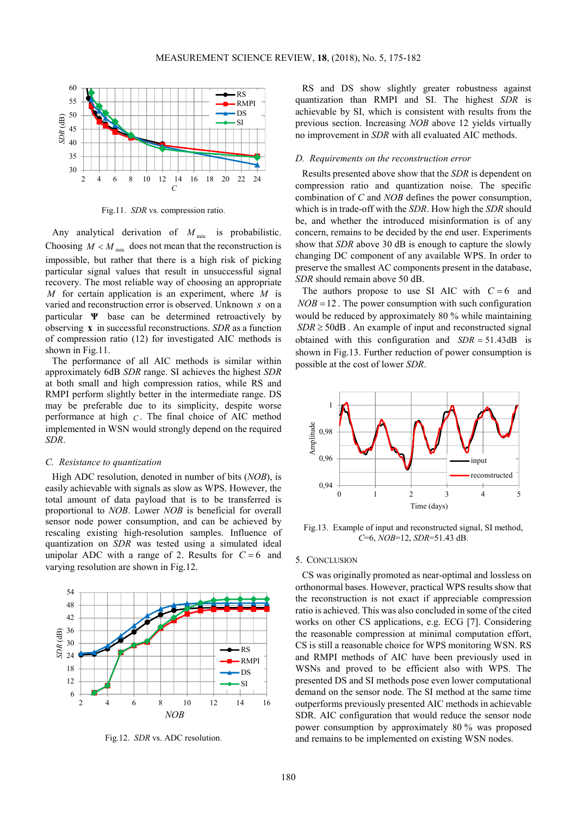

Fig.11. *SDR* vs. compression ratio.

Any analytical derivation of  $M_{\text{min}}$  is probabilistic. Choosing  $M < M_{\text{min}}$  does not mean that the reconstruction is impossible, but rather that there is a high risk of picking particular signal values that result in unsuccessful signal recovery. The most reliable way of choosing an appropriate *M* for certain application is an experiment, where *M* is varied and reconstruction error is observed. Unknown *s* on a particular **Ψ** base can be determined retroactively by observing **x** in successful reconstructions. *SDR* as a function of compression ratio (12) for investigated AIC methods is shown in Fig.11.

The performance of all AIC methods is similar within approximately 6dB *SDR* range. SI achieves the highest *SDR* at both small and high compression ratios, while RS and RMPI perform slightly better in the intermediate range. DS may be preferable due to its simplicity, despite worse performance at high *C* . The final choice of AIC method implemented in WSN would strongly depend on the required *SDR*.

### *C. Resistance to quantization*

High ADC resolution, denoted in number of bits (*NOB*), is easily achievable with signals as slow as WPS. However, the total amount of data payload that is to be transferred is proportional to *NOB*. Lower *NOB* is beneficial for overall sensor node power consumption, and can be achieved by rescaling existing high-resolution samples. Influence of quantization on *SDR* was tested using a simulated ideal unipolar ADC with a range of 2. Results for  $C = 6$  and varying resolution are shown in Fig.12.

6 12 18 24 30 36 42 48 54 2 4 6 8 10 12 14 16 *SDR* (dB) *NOB* RS RMPI DS SI

Fig.12. *SDR* vs. ADC resolution.

RS and DS show slightly greater robustness against quantization than RMPI and SI. The highest *SDR* is achievable by SI, which is consistent with results from the previous section. Increasing *NOB* above 12 yields virtually no improvement in *SDR* with all evaluated AIC methods.

#### *D. Requirements on the reconstruction error*

Results presented above show that the *SDR* is dependent on compression ratio and quantization noise. The specific combination of *C* and *NOB* defines the power consumption, which is in trade-off with the *SDR*. How high the *SDR* should be, and whether the introduced misinformation is of any concern, remains to be decided by the end user. Experiments show that *SDR* above 30 dB is enough to capture the slowly changing DC component of any available WPS. In order to preserve the smallest AC components present in the database, *SDR* should remain above 50 dB.

The authors propose to use SI AIC with  $C = 6$  and  $NOB = 12$ . The power consumption with such configuration would be reduced by approximately 80 % while maintaining  $SDR \geq 50$ dB. An example of input and reconstructed signal obtained with this configuration and *SDR* = 51.43dB is shown in Fig.13. Further reduction of power consumption is possible at the cost of lower *SDR*.



Fig.13. Example of input and reconstructed signal, SI method, *C*=6, *NOB*=12, *SDR*=51.43 dB.

#### 5. CONCLUSION

CS was originally promoted as near-optimal and lossless on orthonormal bases. However, practical WPS results show that the reconstruction is not exact if appreciable compression ratio is achieved. This was also concluded in some of the cited works on other CS applications, e.g. ECG [7]. Considering the reasonable compression at minimal computation effort, CS is still a reasonable choice for WPS monitoring WSN. RS and RMPI methods of AIC have been previously used in WSNs and proved to be efficient also with WPS. The presented DS and SI methods pose even lower computational demand on the sensor node. The SI method at the same time outperforms previously presented AIC methods in achievable SDR. AIC configuration that would reduce the sensor node power consumption by approximately 80 % was proposed and remains to be implemented on existing WSN nodes.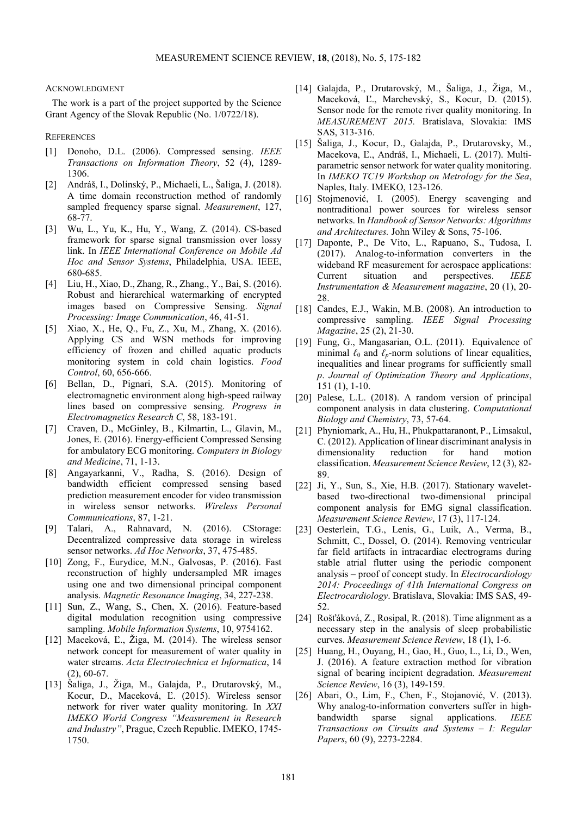#### ACKNOWLEDGMENT

The work is a part of the project supported by the Science Grant Agency of the Slovak Republic (No. 1/0722/18).

## **REFERENCES**

- [1] Donoho, D.L. (2006). Compressed sensing. *IEEE Transactions on Information Theory*, 52 (4), 1289- 1306.
- [2] Andráš, I., Dolinský, P., Michaeli, L., Šaliga, J. (2018). A time domain reconstruction method of randomly sampled frequency sparse signal. *Measurement*, 127, 68-77.
- [3] Wu, L., Yu, K., Hu, Y., Wang, Z. (2014). CS-based framework for sparse signal transmission over lossy link. In *IEEE International Conference on Mobile Ad Hoc and Sensor Systems*, Philadelphia, USA. IEEE, 680-685.
- [4] Liu, H., Xiao, D., Zhang, R., Zhang., Y., Bai, S. (2016). Robust and hierarchical watermarking of encrypted images based on Compressive Sensing. *Signal Processing: Image Communication*, 46, 41-51.
- [5] Xiao, X., He, Q., Fu, Z., Xu, M., Zhang, X. (2016). Applying CS and WSN methods for improving efficiency of frozen and chilled aquatic products monitoring system in cold chain logistics. *Food Control*, 60, 656-666.
- [6] Bellan, D., Pignari, S.A. (2015). Monitoring of electromagnetic environment along high-speed railway lines based on compressive sensing. *Progress in Electromagnetics Research C*, 58, 183-191.
- [7] Craven, D., McGinley, B., Kilmartin, L., Glavin, M., Jones, E. (2016). Energy-efficient Compressed Sensing for ambulatory ECG monitoring. *Computers in Biology and Medicine*, 71, 1-13.
- [8] Angayarkanni, V., Radha, S. (2016). Design of bandwidth efficient compressed sensing based prediction measurement encoder for video transmission in wireless sensor networks. *Wireless Personal Communications*, 87, 1-21.
- [9] Talari, A., Rahnavard, N. (2016). CStorage: Decentralized compressive data storage in wireless sensor networks. *Ad Hoc Networks*, 37, 475-485.
- [10] Zong, F., Eurydice, M.N., Galvosas, P. (2016). Fast reconstruction of highly undersampled MR images using one and two dimensional principal component analysis. *Magnetic Resonance Imaging*, 34, 227-238.
- [11] Sun, Z., Wang, S., Chen, X. (2016). Feature-based digital modulation recognition using compressive sampling. *Mobile Information Systems*, 10, 9754162.
- [12] Maceková, Ľ., Žiga, M. (2014). The wireless sensor network concept for measurement of water quality in water streams. *Acta Electrotechnica et Informatica*, 14 (2), 60-67.
- [13] Šaliga, J., Žiga, M., Galajda, P., Drutarovský, M., Kocur, D., Maceková, Ľ. (2015). Wireless sensor network for river water quality monitoring. In *XXI IMEKO World Congress "Measurement in Research and Industry"*, Prague, Czech Republic. IMEKO, 1745- 1750.
- [14] Galajda, P., Drutarovský, M., Šaliga, J., Žiga, M., Maceková, Ľ., Marchevský, S., Kocur, D. (2015). Sensor node for the remote river quality monitoring. In *MEASUREMENT 2015.* Bratislava, Slovakia: IMS SAS, 313-316.
- [15] Šaliga, J., Kocur, D., Galajda, P., Drutarovsky, M., Macekova, Ľ., Andráš, I., Michaeli, L. (2017). Multiparametric sensor network for water quality monitoring. In *IMEKO TC19 Workshop on Metrology for the Sea*, Naples, Italy. IMEKO, 123-126.
- [16] Stojmenović, I. (2005). Energy scavenging and nontraditional power sources for wireless sensor networks. In *Handbook of Sensor Networks: Algorithms and Architectures.* John Wiley & Sons, 75-106.
- [17] Daponte, P., De Vito, L., Rapuano, S., Tudosa, I. (2017). Analog-to-information converters in the wideband RF measurement for aerospace applications: Current situation and perspectives. *IEEE Instrumentation & Measurement magazine*, 20 (1), 20- 28.
- [18] Candes, E.J., Wakin, M.B. (2008). An introduction to compressive sampling. *IEEE Signal Processing Magazine*, 25 (2), 21-30.
- [19] Fung, G., Mangasarian, O.L. (2011). Equivalence of minimal  $\ell_0$  and  $\ell_p$ -norm solutions of linear equalities, inequalities and linear programs for sufficiently small *p*. *Journal of Optimization Theory and Applications*, 151 (1), 1-10.
- [20] Palese, L.L. (2018). A random version of principal component analysis in data clustering. *Computational Biology and Chemistry*, 73, 57-64.
- [21] Phyniomark, A., Hu, H., Phukpattaranont, P., Limsakul, C. (2012). Application of linear discriminant analysis in dimensionality reduction for hand motion classification. *Measurement Science Review*, 12 (3), 82- 89.
- [22] Ji, Y., Sun, S., Xie, H.B. (2017). Stationary waveletbased two-directional two-dimensional principal component analysis for EMG signal classification. *Measurement Science Review*, 17 (3), 117-124.
- [23] Oesterlein, T.G., Lenis, G., Luik, A., Verma, B., Schmitt, C., Dossel, O. (2014). Removing ventricular far field artifacts in intracardiac electrograms during stable atrial flutter using the periodic component analysis – proof of concept study. In *Electrocardiology 2014: Proceedings of 41th International Congress on Electrocardiology*. Bratislava, Slovakia: IMS SAS, 49- 52.
- [24] Rošťáková, Z., Rosipal, R. (2018). Time alignment as a necessary step in the analysis of sleep probabilistic curves. *Measurement Science Review*, 18 (1), 1-6.
- [25] Huang, H., Ouyang, H., Gao, H., Guo, L., Li, D., Wen, J. (2016). A feature extraction method for vibration signal of bearing incipient degradation. *Measurement Science Review*, 16 (3), 149-159.
- [26] Abari, O., Lim, F., Chen, F., Stojanović, V. (2013). Why analog-to-information converters suffer in highbandwidth sparse signal applications. *IEEE Transactions on Cirsuits and Systems – I: Regular Papers*, 60 (9), 2273-2284.